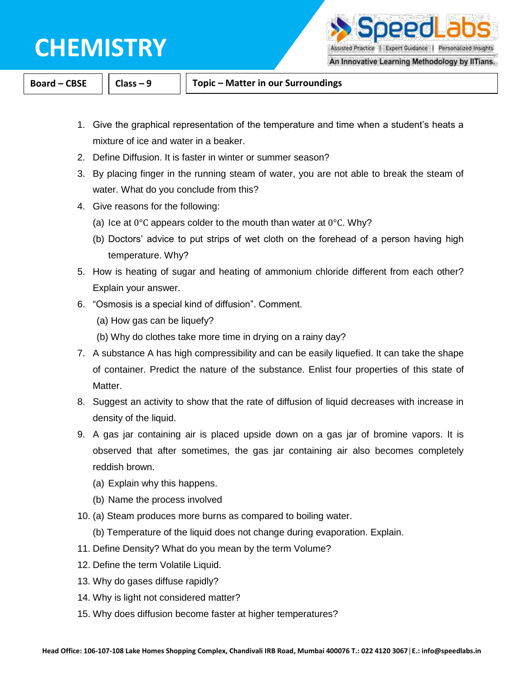

Assisted Practice | Expert Guidance | Personalized Insights

pedla

An Innovative Learning Methodology by IITians.

**Board – CBSE Class – 9 Topic – Matter in our Surroundings**

- 1. Give the graphical representation of the temperature and time when a student's heats a mixture of ice and water in a beaker.
- 2. Define Diffusion. It is faster in winter or summer season?
- 3. By placing finger in the running steam of water, you are not able to break the steam of water. What do you conclude from this?
- 4. Give reasons for the following:
	- (a) Ice at  $0^{\circ}$ C appears colder to the mouth than water at  $0^{\circ}$ C. Why?
	- (b) Doctors' advice to put strips of wet cloth on the forehead of a person having high temperature. Why?
- 5. How is heating of sugar and heating of ammonium chloride different from each other? Explain your answer.
- 6. "Osmosis is a special kind of diffusion". Comment.
	- (a) How gas can be liquefy?
	- (b) Why do clothes take more time in drying on a rainy day?
- 7. A substance A has high compressibility and can be easily liquefied. It can take the shape of container. Predict the nature of the substance. Enlist four properties of this state of Matter.
- 8. Suggest an activity to show that the rate of diffusion of liquid decreases with increase in density of the liquid.
- 9. A gas jar containing air is placed upside down on a gas jar of bromine vapors. It is observed that after sometimes, the gas jar containing air also becomes completely reddish brown.
	- (a) Explain why this happens.
	- (b) Name the process involved
- 10. (a) Steam produces more burns as compared to boiling water.
	- (b) Temperature of the liquid does not change during evaporation. Explain.
- 11. Define Density? What do you mean by the term Volume?
- 12. Define the term Volatile Liquid.
- 13. Why do gases diffuse rapidly?
- 14. Why is light not considered matter?
- 15. Why does diffusion become faster at higher temperatures?